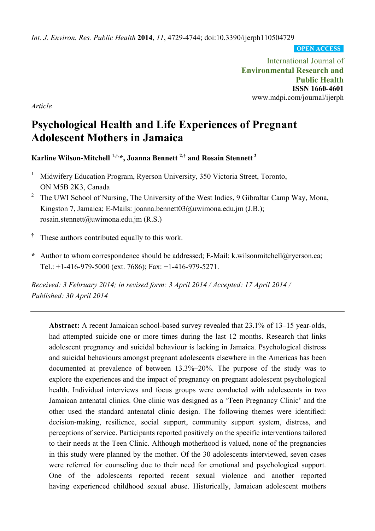*Int. J. Environ. Res. Public Health* **2014**, *11*, 4729-4744; doi:10.3390/ijerph110504729

**OPEN ACCESS**

International Journal of **Environmental Research and Public Health ISSN 1660-4601**  www.mdpi.com/journal/ijerph

*Article* 

# **Psychological Health and Life Experiences of Pregnant Adolescent Mothers in Jamaica**

**Karline Wilson-Mitchell 1,†,\*, Joanna Bennett 2,† and Rosain Stennett 2** 

- 1 Midwifery Education Program, Ryerson University, 350 Victoria Street, Toronto, ON M5B 2K3, Canada
- 2 The UWI School of Nursing, The University of the West Indies, 9 Gibraltar Camp Way, Mona, Kingston 7, Jamaica; E-Mails: joanna.bennett03@uwimona.edu.jm (J.B.); rosain.stennett@uwimona.edu.jm (R.S.)
- **†** These authors contributed equally to this work.
- **\*** Author to whom correspondence should be addressed; E-Mail: k.wilsonmitchell@ryerson.ca; Tel.: +1-416-979-5000 (ext. 7686); Fax: +1-416-979-5271.

*Received: 3 February 2014; in revised form: 3 April 2014 / Accepted: 17 April 2014 / Published: 30 April 2014* 

**Abstract:** A recent Jamaican school-based survey revealed that 23.1% of 13–15 year-olds, had attempted suicide one or more times during the last 12 months. Research that links adolescent pregnancy and suicidal behaviour is lacking in Jamaica. Psychological distress and suicidal behaviours amongst pregnant adolescents elsewhere in the Americas has been documented at prevalence of between 13.3%–20%. The purpose of the study was to explore the experiences and the impact of pregnancy on pregnant adolescent psychological health. Individual interviews and focus groups were conducted with adolescents in two Jamaican antenatal clinics. One clinic was designed as a 'Teen Pregnancy Clinic' and the other used the standard antenatal clinic design. The following themes were identified: decision-making, resilience, social support, community support system, distress, and perceptions of service. Participants reported positively on the specific interventions tailored to their needs at the Teen Clinic. Although motherhood is valued, none of the pregnancies in this study were planned by the mother. Of the 30 adolescents interviewed, seven cases were referred for counseling due to their need for emotional and psychological support. One of the adolescents reported recent sexual violence and another reported having experienced childhood sexual abuse. Historically, Jamaican adolescent mothers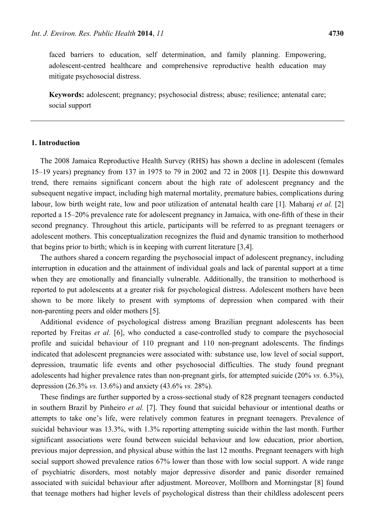faced barriers to education, self determination, and family planning. Empowering, adolescent-centred healthcare and comprehensive reproductive health education may mitigate psychosocial distress.

**Keywords:** adolescent; pregnancy; psychosocial distress; abuse; resilience; antenatal care; social support

# **1. Introduction**

The 2008 Jamaica Reproductive Health Survey (RHS) has shown a decline in adolescent (females 15–19 years) pregnancy from 137 in 1975 to 79 in 2002 and 72 in 2008 [1]. Despite this downward trend, there remains significant concern about the high rate of adolescent pregnancy and the subsequent negative impact, including high maternal mortality, premature babies, complications during labour, low birth weight rate, low and poor utilization of antenatal health care [1]. Maharaj *et al.* [2] reported a 15–20% prevalence rate for adolescent pregnancy in Jamaica, with one-fifth of these in their second pregnancy. Throughout this article, participants will be referred to as pregnant teenagers or adolescent mothers. This conceptualization recognizes the fluid and dynamic transition to motherhood that begins prior to birth; which is in keeping with current literature [3,4].

The authors shared a concern regarding the psychosocial impact of adolescent pregnancy, including interruption in education and the attainment of individual goals and lack of parental support at a time when they are emotionally and financially vulnerable. Additionally, the transition to motherhood is reported to put adolescents at a greater risk for psychological distress. Adolescent mothers have been shown to be more likely to present with symptoms of depression when compared with their non-parenting peers and older mothers [5].

Additional evidence of psychological distress among Brazilian pregnant adolescents has been reported by Freitas *et al.* [6], who conducted a case-controlled study to compare the psychosocial profile and suicidal behaviour of 110 pregnant and 110 non-pregnant adolescents. The findings indicated that adolescent pregnancies were associated with: substance use, low level of social support, depression, traumatic life events and other psychosocial difficulties. The study found pregnant adolescents had higher prevalence rates than non-pregnant girls, for attempted suicide (20% *vs.* 6.3%), depression (26.3% *vs.* 13.6%) and anxiety (43.6% *vs.* 28%).

These findings are further supported by a cross-sectional study of 828 pregnant teenagers conducted in southern Brazil by Pinheiro *et al.* [7]. They found that suicidal behaviour or intentional deaths or attempts to take one's life, were relatively common features in pregnant teenagers. Prevalence of suicidal behaviour was 13.3%, with 1.3% reporting attempting suicide within the last month. Further significant associations were found between suicidal behaviour and low education, prior abortion, previous major depression, and physical abuse within the last 12 months. Pregnant teenagers with high social support showed prevalence ratios 67% lower than those with low social support. A wide range of psychiatric disorders, most notably major depressive disorder and panic disorder remained associated with suicidal behaviour after adjustment. Moreover, Mollborn and Morningstar [8] found that teenage mothers had higher levels of psychological distress than their childless adolescent peers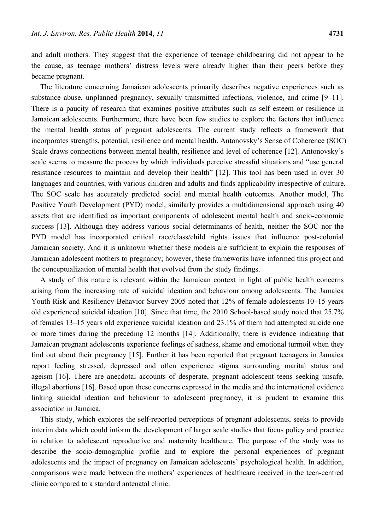and adult mothers. They suggest that the experience of teenage childbearing did not appear to be the cause, as teenage mothers' distress levels were already higher than their peers before they became pregnant.

The literature concerning Jamaican adolescents primarily describes negative experiences such as substance abuse, unplanned pregnancy, sexually transmitted infections, violence, and crime [9–11]. There is a paucity of research that examines positive attributes such as self esteem or resilience in Jamaican adolescents. Furthermore, there have been few studies to explore the factors that influence the mental health status of pregnant adolescents. The current study reflects a framework that incorporates strengths, potential, resilience and mental health. Antonovsky's Sense of Coherence (SOC) Scale draws connections between mental health, resilience and level of coherence [12]. Antonovsky's scale seems to measure the process by which individuals perceive stressful situations and "use general resistance resources to maintain and develop their health" [12]. This tool has been used in over 30 languages and countries, with various children and adults and finds applicability irrespective of culture. The SOC scale has accurately predicted social and mental health outcomes. Another model, The Positive Youth Development (PYD) model, similarly provides a multidimensional approach using 40 assets that are identified as important components of adolescent mental health and socio-economic success [13]. Although they address various social determinants of health, neither the SOC nor the PYD model has incorporated critical race/class/child rights issues that influence post-colonial Jamaican society. And it is unknown whether these models are sufficient to explain the responses of Jamaican adolescent mothers to pregnancy; however, these frameworks have informed this project and the conceptualization of mental health that evolved from the study findings.

A study of this nature is relevant within the Jamaican context in light of public health concerns arising from the increasing rate of suicidal ideation and behaviour among adolescents. The Jamaica Youth Risk and Resiliency Behavior Survey 2005 noted that 12% of female adolescents 10–15 years old experienced suicidal ideation [10]. Since that time, the 2010 School-based study noted that 25.7% of females 13–15 years old experience suicidal ideation and 23.1% of them had attempted suicide one or more times during the preceding 12 months [14]. Additionally, there is evidence indicating that Jamaican pregnant adolescents experience feelings of sadness, shame and emotional turmoil when they find out about their pregnancy [15]. Further it has been reported that pregnant teenagers in Jamaica report feeling stressed, depressed and often experience stigma surrounding marital status and ageism [16]. There are anecdotal accounts of desperate, pregnant adolescent teens seeking unsafe, illegal abortions [16]. Based upon these concerns expressed in the media and the international evidence linking suicidal ideation and behaviour to adolescent pregnancy, it is prudent to examine this association in Jamaica.

This study, which explores the self-reported perceptions of pregnant adolescents, seeks to provide interim data which could inform the development of larger scale studies that focus policy and practice in relation to adolescent reproductive and maternity healthcare. The purpose of the study was to describe the socio-demographic profile and to explore the personal experiences of pregnant adolescents and the impact of pregnancy on Jamaican adolescents' psychological health. In addition, comparisons were made between the mothers' experiences of healthcare received in the teen-centred clinic compared to a standard antenatal clinic.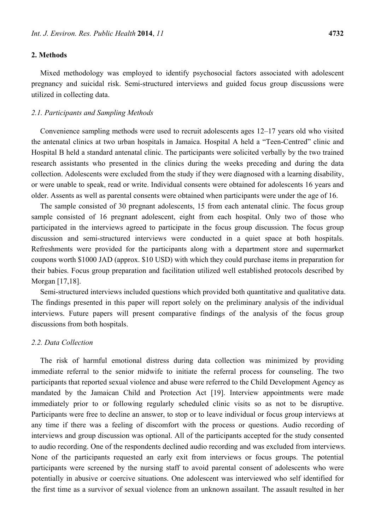## **2. Methods**

Mixed methodology was employed to identify psychosocial factors associated with adolescent pregnancy and suicidal risk. Semi-structured interviews and guided focus group discussions were utilized in collecting data.

#### *2.1. Participants and Sampling Methods*

Convenience sampling methods were used to recruit adolescents ages 12–17 years old who visited the antenatal clinics at two urban hospitals in Jamaica. Hospital A held a "Teen-Centred" clinic and Hospital B held a standard antenatal clinic. The participants were solicited verbally by the two trained research assistants who presented in the clinics during the weeks preceding and during the data collection. Adolescents were excluded from the study if they were diagnosed with a learning disability, or were unable to speak, read or write. Individual consents were obtained for adolescents 16 years and older. Assents as well as parental consents were obtained when participants were under the age of 16.

The sample consisted of 30 pregnant adolescents, 15 from each antenatal clinic. The focus group sample consisted of 16 pregnant adolescent, eight from each hospital. Only two of those who participated in the interviews agreed to participate in the focus group discussion. The focus group discussion and semi-structured interviews were conducted in a quiet space at both hospitals. Refreshments were provided for the participants along with a department store and supermarket coupons worth \$1000 JAD (approx. \$10 USD) with which they could purchase items in preparation for their babies. Focus group preparation and facilitation utilized well established protocols described by Morgan [17,18].

Semi-structured interviews included questions which provided both quantitative and qualitative data. The findings presented in this paper will report solely on the preliminary analysis of the individual interviews. Future papers will present comparative findings of the analysis of the focus group discussions from both hospitals.

# *2.2. Data Collection*

The risk of harmful emotional distress during data collection was minimized by providing immediate referral to the senior midwife to initiate the referral process for counseling. The two participants that reported sexual violence and abuse were referred to the Child Development Agency as mandated by the Jamaican Child and Protection Act [19]. Interview appointments were made immediately prior to or following regularly scheduled clinic visits so as not to be disruptive. Participants were free to decline an answer, to stop or to leave individual or focus group interviews at any time if there was a feeling of discomfort with the process or questions. Audio recording of interviews and group discussion was optional. All of the participants accepted for the study consented to audio recording. One of the respondents declined audio recording and was excluded from interviews. None of the participants requested an early exit from interviews or focus groups. The potential participants were screened by the nursing staff to avoid parental consent of adolescents who were potentially in abusive or coercive situations. One adolescent was interviewed who self identified for the first time as a survivor of sexual violence from an unknown assailant. The assault resulted in her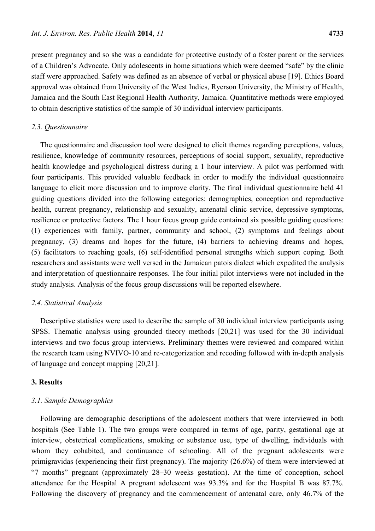present pregnancy and so she was a candidate for protective custody of a foster parent or the services of a Children's Advocate. Only adolescents in home situations which were deemed "safe" by the clinic staff were approached. Safety was defined as an absence of verbal or physical abuse [19]. Ethics Board approval was obtained from University of the West Indies, Ryerson University, the Ministry of Health, Jamaica and the South East Regional Health Authority, Jamaica. Quantitative methods were employed to obtain descriptive statistics of the sample of 30 individual interview participants.

#### *2.3. Questionnaire*

The questionnaire and discussion tool were designed to elicit themes regarding perceptions, values, resilience, knowledge of community resources, perceptions of social support, sexuality, reproductive health knowledge and psychological distress during a 1 hour interview. A pilot was performed with four participants. This provided valuable feedback in order to modify the individual questionnaire language to elicit more discussion and to improve clarity. The final individual questionnaire held 41 guiding questions divided into the following categories: demographics, conception and reproductive health, current pregnancy, relationship and sexuality, antenatal clinic service, depressive symptoms, resilience or protective factors. The 1 hour focus group guide contained six possible guiding questions: (1) experiences with family, partner, community and school, (2) symptoms and feelings about pregnancy, (3) dreams and hopes for the future, (4) barriers to achieving dreams and hopes, (5) facilitators to reaching goals, (6) self-identified personal strengths which support coping. Both researchers and assistants were well versed in the Jamaican patois dialect which expedited the analysis and interpretation of questionnaire responses. The four initial pilot interviews were not included in the study analysis. Analysis of the focus group discussions will be reported elsewhere.

## *2.4. Statistical Analysis*

Descriptive statistics were used to describe the sample of 30 individual interview participants using SPSS. Thematic analysis using grounded theory methods [20,21] was used for the 30 individual interviews and two focus group interviews. Preliminary themes were reviewed and compared within the research team using NVIVO-10 and re-categorization and recoding followed with in-depth analysis of language and concept mapping [20,21].

## **3. Results**

## *3.1. Sample Demographics*

Following are demographic descriptions of the adolescent mothers that were interviewed in both hospitals (See Table 1). The two groups were compared in terms of age, parity, gestational age at interview, obstetrical complications, smoking or substance use, type of dwelling, individuals with whom they cohabited, and continuance of schooling. All of the pregnant adolescents were primigravidas (experiencing their first pregnancy). The majority (26.6%) of them were interviewed at "7 months" pregnant (approximately 28–30 weeks gestation). At the time of conception, school attendance for the Hospital A pregnant adolescent was 93.3% and for the Hospital B was 87.7%. Following the discovery of pregnancy and the commencement of antenatal care, only 46.7% of the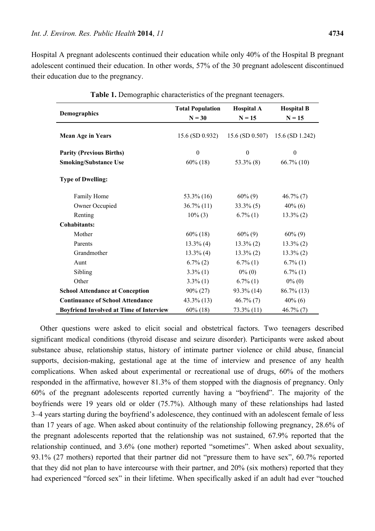Hospital A pregnant adolescents continued their education while only 40% of the Hospital B pregnant adolescent continued their education. In other words, 57% of the 30 pregnant adolescent discontinued their education due to the pregnancy.

| <b>Demographics</b>                            | <b>Total Population</b><br>$N = 30$ | <b>Hospital A</b><br>$N = 15$ | <b>Hospital B</b><br>$N = 15$ |
|------------------------------------------------|-------------------------------------|-------------------------------|-------------------------------|
|                                                |                                     |                               |                               |
| <b>Mean Age in Years</b>                       | 15.6 (SD 0.932)                     | $15.6$ (SD 0.507)             | 15.6 (SD 1.242)               |
| <b>Parity (Previous Births)</b>                | $\boldsymbol{0}$                    | $\boldsymbol{0}$              | $\boldsymbol{0}$              |
|                                                |                                     |                               |                               |
| <b>Smoking/Substance Use</b>                   | $60\%$ (18)                         | $53.3\%$ (8)                  | $66.7\%$ (10)                 |
| <b>Type of Dwelling:</b>                       |                                     |                               |                               |
| Family Home                                    | $53.3\%$ (16)                       | $60\%$ (9)                    | $46.7\%$ (7)                  |
| Owner Occupied                                 | $36.7\%$ (11)                       | $33.3\%$ (5)                  | $40\%$ (6)                    |
| Renting                                        | $10\%$ (3)                          | $6.7\%$ (1)                   | $13.3\%$ (2)                  |
| <b>Cohabitants:</b>                            |                                     |                               |                               |
| Mother                                         | $60\%$ (18)                         | $60\%$ (9)                    | $60\%$ (9)                    |
| Parents                                        | $13.3\%$ (4)                        | $13.3\%$ (2)                  | $13.3\%$ (2)                  |
| Grandmother                                    | $13.3\%$ (4)                        | $13.3\%$ (2)                  | $13.3\%$ (2)                  |
| Aunt                                           | $6.7\%$ (2)                         | $6.7\%$ (1)                   | $6.7\%$ (1)                   |
| Sibling                                        | $3.3\%$ (1)                         | $0\%$ (0)                     | $6.7\%$ (1)                   |
| Other                                          | $3.3\%$ (1)                         | $6.7\%$ (1)                   | $0\%$ (0)                     |
| <b>School Attendance at Conception</b>         | $90\% (27)$                         | $93.3\%$ (14)                 | $86.7\%$ (13)                 |
| <b>Continuance of School Attendance</b>        | $43.3\%$ (13)                       | $46.7\%$ (7)                  | $40\%$ (6)                    |
| <b>Boyfriend Involved at Time of Interview</b> | $60\%$ (18)                         | $73.3\%$ (11)                 | $46.7\%$ (7)                  |

**Table 1.** Demographic characteristics of the pregnant teenagers.

Other questions were asked to elicit social and obstetrical factors. Two teenagers described significant medical conditions (thyroid disease and seizure disorder). Participants were asked about substance abuse, relationship status, history of intimate partner violence or child abuse, financial supports, decision-making, gestational age at the time of interview and presence of any health complications. When asked about experimental or recreational use of drugs, 60% of the mothers responded in the affirmative, however 81.3% of them stopped with the diagnosis of pregnancy. Only 60% of the pregnant adolescents reported currently having a "boyfriend". The majority of the boyfriends were 19 years old or older (75.7%). Although many of these relationships had lasted 3–4 years starting during the boyfriend's adolescence, they continued with an adolescent female of less than 17 years of age. When asked about continuity of the relationship following pregnancy, 28.6% of the pregnant adolescents reported that the relationship was not sustained, 67.9% reported that the relationship continued, and 3.6% (one mother) reported "sometimes". When asked about sexuality, 93.1% (27 mothers) reported that their partner did not "pressure them to have sex", 60.7% reported that they did not plan to have intercourse with their partner, and 20% (six mothers) reported that they had experienced "forced sex" in their lifetime. When specifically asked if an adult had ever "touched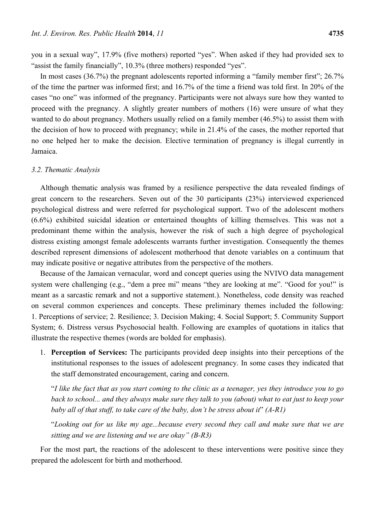you in a sexual way", 17.9% (five mothers) reported "yes". When asked if they had provided sex to "assist the family financially", 10.3% (three mothers) responded "yes".

In most cases (36.7%) the pregnant adolescents reported informing a "family member first"; 26.7% of the time the partner was informed first; and 16.7% of the time a friend was told first. In 20% of the cases "no one" was informed of the pregnancy. Participants were not always sure how they wanted to proceed with the pregnancy. A slightly greater numbers of mothers (16) were unsure of what they wanted to do about pregnancy. Mothers usually relied on a family member (46.5%) to assist them with the decision of how to proceed with pregnancy; while in 21.4% of the cases, the mother reported that no one helped her to make the decision. Elective termination of pregnancy is illegal currently in Jamaica.

#### *3.2. Thematic Analysis*

Although thematic analysis was framed by a resilience perspective the data revealed findings of great concern to the researchers. Seven out of the 30 participants (23%) interviewed experienced psychological distress and were referred for psychological support. Two of the adolescent mothers (6.6%) exhibited suicidal ideation or entertained thoughts of killing themselves. This was not a predominant theme within the analysis, however the risk of such a high degree of psychological distress existing amongst female adolescents warrants further investigation. Consequently the themes described represent dimensions of adolescent motherhood that denote variables on a continuum that may indicate positive or negative attributes from the perspective of the mothers.

Because of the Jamaican vernacular, word and concept queries using the NVIVO data management system were challenging (e.g., "dem a pree mi" means "they are looking at me". "Good for you!" is meant as a sarcastic remark and not a supportive statement.). Nonetheless, code density was reached on several common experiences and concepts. These preliminary themes included the following: 1. Perceptions of service; 2. Resilience; 3. Decision Making; 4. Social Support; 5. Community Support System; 6. Distress versus Psychosocial health. Following are examples of quotations in italics that illustrate the respective themes (words are bolded for emphasis).

1. **Perception of Services:** The participants provided deep insights into their perceptions of the institutional responses to the issues of adolescent pregnancy. In some cases they indicated that the staff demonstrated encouragement, caring and concern.

"*I like the fact that as you start coming to the clinic as a teenager, yes they introduce you to go back to school... and they always make sure they talk to you (about) what to eat just to keep your baby all of that stuff, to take care of the baby, don't be stress about it*" *(A-R1)*

"*Looking out for us like my age...because every second they call and make sure that we are sitting and we are listening and we are okay" (B-R3)* 

For the most part, the reactions of the adolescent to these interventions were positive since they prepared the adolescent for birth and motherhood.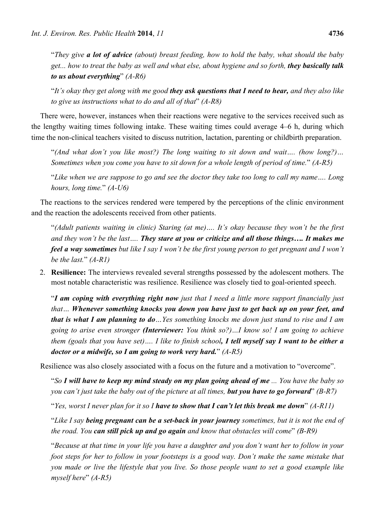"*They give a lot of advice (about) breast feeding, how to hold the baby, what should the baby get... how to treat the baby as well and what else, about hygiene and so forth, they basically talk to us about everything*" *(A-R6)* 

"*It's okay they get along with me good they ask questions that I need to hear, and they also like to give us instructions what to do and all of that*" *(A-R8)* 

There were, however, instances when their reactions were negative to the services received such as the lengthy waiting times following intake. These waiting times could average 4–6 h, during which time the non-clinical teachers visited to discuss nutrition, lactation, parenting or childbirth preparation.

"*(And what don't you like most?) The long waiting to sit down and wait…. (how long?)… Sometimes when you come you have to sit down for a whole length of period of time.*" *(A-R5)* 

"*Like when we are suppose to go and see the doctor they take too long to call my name…. Long hours, long time.*" *(A-U6)* 

The reactions to the services rendered were tempered by the perceptions of the clinic environment and the reaction the adolescents received from other patients.

"*(Adult patients waiting in clinic) Staring (at me)…. It's okay because they won't be the first and they won't be the last…. They stare at you or criticize and all those things…. It makes me feel a way sometimes but like I say I won't be the first young person to get pregnant and I won't be the last.*" *(A-R1)* 

2. **Resilience:** The interviews revealed several strengths possessed by the adolescent mothers. The most notable characteristic was resilience. Resilience was closely tied to goal-oriented speech.

"*I am coping with everything right now just that I need a little more support financially just that… Whenever something knocks you down you have just to get back up on your feet, and that is what I am planning to do…Yes something knocks me down just stand to rise and I am going to arise even stronger (Interviewer: You think so?)…I know so! I am going to achieve them (goals that you have set)…. I like to finish school, I tell myself say I want to be either a doctor or a midwife, so I am going to work very hard.*" *(A-R5)* 

Resilience was also closely associated with a focus on the future and a motivation to "overcome".

"*So I will have to keep my mind steady on my plan going ahead of me ... You have the baby so you can't just take the baby out of the picture at all times, but you have to go forward*" *(B-R7)*

"*Yes, worst I never plan for it so I have to show that I can't let this break me down*" *(A-R11)*

"*Like I say being pregnant can be a set-back in your journey sometimes, but it is not the end of the road. You can still pick up and go again and know that obstacles will come*" *(B-R9)*

"*Because at that time in your life you have a daughter and you don't want her to follow in your foot steps for her to follow in your footsteps is a good way. Don't make the same mistake that you made or live the lifestyle that you live. So those people want to set a good example like myself here*" *(A-R5)*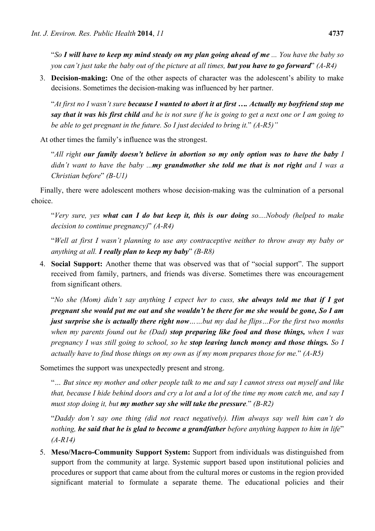"*So I will have to keep my mind steady on my plan going ahead of me ... You have the baby so you can't just take the baby out of the picture at all times, but you have to go forward*" *(A-R4)* 

3. **Decision-making:** One of the other aspects of character was the adolescent's ability to make decisions. Sometimes the decision-making was influenced by her partner.

"*At first no I wasn't sure because I wanted to abort it at first …. Actually my boyfriend stop me say that it was his first child and he is not sure if he is going to get a next one or I am going to be able to get pregnant in the future. So I just decided to bring it.*" *(A-R5)"*

At other times the family's influence was the strongest.

"*All right our family doesn't believe in abortion so my only option was to have the baby I didn't want to have the baby ...my grandmother she told me that is not right and I was a Christian before*" *(B-U1)*

Finally, there were adolescent mothers whose decision-making was the culmination of a personal choice.

"*Very sure, yes what can I do but keep it, this is our doing so....Nobody (helped to make decision to continue pregnancy)*" *(A-R4)* 

"*Well at first I wasn't planning to use any contraceptive neither to throw away my baby or anything at all. I really plan to keep my baby*" *(B-R8)* 

4. **Social Support:** Another theme that was observed was that of "social support". The support received from family, partners, and friends was diverse. Sometimes there was encouragement from significant others.

"*No she (Mom) didn't say anything I expect her to cuss, she always told me that if I got pregnant she would put me out and she wouldn't be there for me she would be gone, So I am just surprise she is actually there right now……but my dad he flips…For the first two months when my parents found out he (Dad) stop preparing like food and those things, when I was pregnancy I was still going to school, so he stop leaving lunch money and those things. So I actually have to find those things on my own as if my mom prepares those for me.*" *(A-R5)* 

Sometimes the support was unexpectedly present and strong.

"*… But since my mother and other people talk to me and say I cannot stress out myself and like that, because I hide behind doors and cry a lot and a lot of the time my mom catch me, and say I must stop doing it, but my mother say she will take the pressure.*" *(B-R2)* 

"*Daddy don't say one thing (did not react negatively). Him always say well him can't do nothing, he said that he is glad to become a grandfather before anything happen to him in life*" *(A-R14)* 

5. **Meso/Macro-Community Support System:** Support from individuals was distinguished from support from the community at large. Systemic support based upon institutional policies and procedures or support that came about from the cultural mores or customs in the region provided significant material to formulate a separate theme. The educational policies and their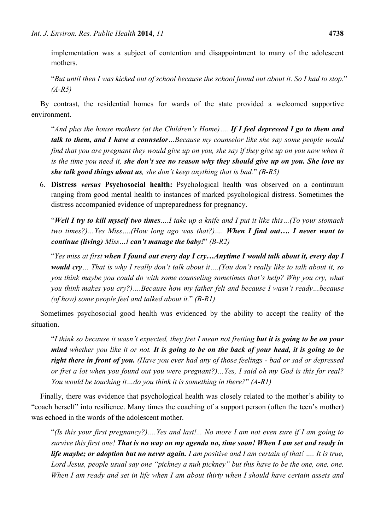implementation was a subject of contention and disappointment to many of the adolescent mothers.

"*But until then I was kicked out of school because the school found out about it. So I had to stop.*" *(A-R5)* 

By contrast, the residential homes for wards of the state provided a welcomed supportive environment.

"*And plus the house mothers (at the Children's Home)…. If I feel depressed I go to them and talk to them, and I have a counselor…Because my counselor like she say some people would find that you are pregnant they would give up on you, she say if they give up on you now when it is the time you need it, she don't see no reason why they should give up on you. She love us she talk good things about us, she don't keep anything that is bad.*" *(B-R5)* 

6. **Distress** *versus* **Psychosocial health:** Psychological health was observed on a continuum ranging from good mental health to instances of marked psychological distress. Sometimes the distress accompanied evidence of unpreparedness for pregnancy.

"*Well I try to kill myself two times….I take up a knife and I put it like this…(To your stomach two times?)…Yes Miss….(How long ago was that?)…. When I find out…. I never want to continue (living) Miss…I can't manage the baby!*" *(B-R2)* 

"*Yes miss at first when I found out every day I cry…Anytime I would talk about it, every day I would cry… That is why I really don't talk about it….(You don't really like to talk about it, so you think maybe you could do with some counseling sometimes that's help? Why you cry, what you think makes you cry?)….Because how my father felt and because I wasn't ready…because (of how) some people feel and talked about it.*" *(B-R1)* 

Sometimes psychosocial good health was evidenced by the ability to accept the reality of the situation.

"*I think so because it wasn't expected, they fret I mean not fretting but it is going to be on your mind whether you like it or not. It is going to be on the back of your head, it is going to be right there in front of you. (Have you ever had any of those feelings - bad or sad or depressed or fret a lot when you found out you were pregnant?)…Yes, I said oh my God is this for real? You would be touching it…do you think it is something in there?*" *(A-R1)* 

Finally, there was evidence that psychological health was closely related to the mother's ability to "coach herself" into resilience. Many times the coaching of a support person (often the teen's mother) was echoed in the words of the adolescent mother.

"*(Is this your first pregnancy?)….Yes and last!... No more I am not even sure if I am going to survive this first one! That is no way on my agenda no, time soon! When I am set and ready in life maybe; or adoption but no never again. I am positive and I am certain of that! …. It is true, Lord Jesus, people usual say one "pickney a nuh pickney" but this have to be the one, one, one. When I am ready and set in life when I am about thirty when I should have certain assets and*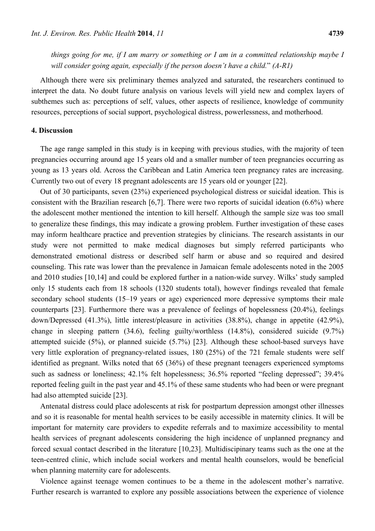*things going for me, if I am marry or something or I am in a committed relationship maybe I will consider going again, especially if the person doesn't have a child.*" *(A-R1)*

Although there were six preliminary themes analyzed and saturated, the researchers continued to interpret the data. No doubt future analysis on various levels will yield new and complex layers of subthemes such as: perceptions of self, values, other aspects of resilience, knowledge of community resources, perceptions of social support, psychological distress, powerlessness, and motherhood.

# **4. Discussion**

The age range sampled in this study is in keeping with previous studies, with the majority of teen pregnancies occurring around age 15 years old and a smaller number of teen pregnancies occurring as young as 13 years old. Across the Caribbean and Latin America teen pregnancy rates are increasing. Currently two out of every 18 pregnant adolescents are 15 years old or younger [22].

Out of 30 participants, seven (23%) experienced psychological distress or suicidal ideation. This is consistent with the Brazilian research [6,7]. There were two reports of suicidal ideation (6.6%) where the adolescent mother mentioned the intention to kill herself. Although the sample size was too small to generalize these findings, this may indicate a growing problem. Further investigation of these cases may inform healthcare practice and prevention strategies by clinicians. The research assistants in our study were not permitted to make medical diagnoses but simply referred participants who demonstrated emotional distress or described self harm or abuse and so required and desired counseling. This rate was lower than the prevalence in Jamaican female adolescents noted in the 2005 and 2010 studies [10,14] and could be explored further in a nation-wide survey. Wilks' study sampled only 15 students each from 18 schools (1320 students total), however findings revealed that female secondary school students (15–19 years or age) experienced more depressive symptoms their male counterparts [23]. Furthermore there was a prevalence of feelings of hopelessness (20.4%), feelings down/Depressed (41.3%), little interest/pleasure in activities (38.8%), change in appetite (42.9%), change in sleeping pattern (34.6), feeling guilty/worthless (14.8%), considered suicide (9.7%) attempted suicide (5%), or planned suicide (5.7%) [23]. Although these school-based surveys have very little exploration of pregnancy-related issues, 180 (25%) of the 721 female students were self identified as pregnant. Wilks noted that 65 (36%) of these pregnant teenagers experienced symptoms such as sadness or loneliness; 42.1% felt hopelessness; 36.5% reported "feeling depressed"; 39.4% reported feeling guilt in the past year and 45.1% of these same students who had been or were pregnant had also attempted suicide [23].

Antenatal distress could place adolescents at risk for postpartum depression amongst other illnesses and so it is reasonable for mental health services to be easily accessible in maternity clinics. It will be important for maternity care providers to expedite referrals and to maximize accessibility to mental health services of pregnant adolescents considering the high incidence of unplanned pregnancy and forced sexual contact described in the literature [10,23]. Multidiscipinary teams such as the one at the teen-centred clinic, which include social workers and mental health counselors, would be beneficial when planning maternity care for adolescents.

Violence against teenage women continues to be a theme in the adolescent mother's narrative. Further research is warranted to explore any possible associations between the experience of violence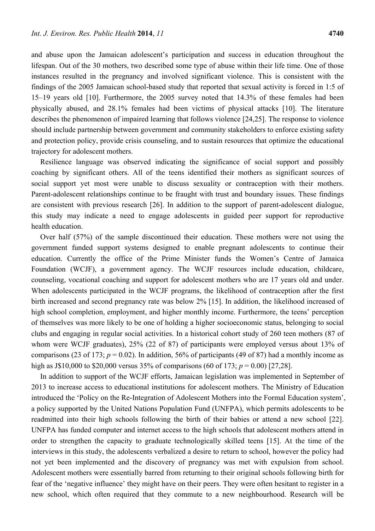and abuse upon the Jamaican adolescent's participation and success in education throughout the lifespan. Out of the 30 mothers, two described some type of abuse within their life time. One of those instances resulted in the pregnancy and involved significant violence. This is consistent with the findings of the 2005 Jamaican school-based study that reported that sexual activity is forced in 1:5 of 15–19 years old [10]. Furthermore, the 2005 survey noted that 14.3% of these females had been physically abused, and 28.1% females had been victims of physical attacks [10]. The literature describes the phenomenon of impaired learning that follows violence [24,25]. The response to violence should include partnership between government and community stakeholders to enforce existing safety and protection policy, provide crisis counseling, and to sustain resources that optimize the educational trajectory for adolescent mothers.

Resilience language was observed indicating the significance of social support and possibly coaching by significant others. All of the teens identified their mothers as significant sources of social support yet most were unable to discuss sexuality or contraception with their mothers. Parent-adolescent relationships continue to be fraught with trust and boundary issues. These findings are consistent with previous research [26]. In addition to the support of parent-adolescent dialogue, this study may indicate a need to engage adolescents in guided peer support for reproductive health education.

Over half (57%) of the sample discontinued their education. These mothers were not using the government funded support systems designed to enable pregnant adolescents to continue their education. Currently the office of the Prime Minister funds the Women's Centre of Jamaica Foundation (WCJF), a government agency. The WCJF resources include education, childcare, counseling, vocational coaching and support for adolescent mothers who are 17 years old and under. When adolescents participated in the WCJF programs, the likelihood of contraception after the first birth increased and second pregnancy rate was below 2% [15]. In addition, the likelihood increased of high school completion, employment, and higher monthly income. Furthermore, the teens' perception of themselves was more likely to be one of holding a higher socioeconomic status, belonging to social clubs and engaging in regular social activities. In a historical cohort study of 260 teen mothers (87 of whom were WCJF graduates), 25% (22 of 87) of participants were employed versus about 13% of comparisons (23 of 173;  $p = 0.02$ ). In addition, 56% of participants (49 of 87) had a monthly income as high as J\$10,000 to \$20,000 versus 35% of comparisons (60 of 173; *p* = 0.00) [27,28].

In addition to support of the WCJF efforts, Jamaican legislation was implemented in September of 2013 to increase access to educational institutions for adolescent mothers. The Ministry of Education introduced the 'Policy on the Re-Integration of Adolescent Mothers into the Formal Education system', a policy supported by the United Nations Population Fund (UNFPA), which permits adolescents to be readmitted into their high schools following the birth of their babies or attend a new school [22]. UNFPA has funded computer and internet access to the high schools that adolescent mothers attend in order to strengthen the capacity to graduate technologically skilled teens [15]. At the time of the interviews in this study, the adolescents verbalized a desire to return to school, however the policy had not yet been implemented and the discovery of pregnancy was met with expulsion from school. Adolescent mothers were essentially barred from returning to their original schools following birth for fear of the 'negative influence' they might have on their peers. They were often hesitant to register in a new school, which often required that they commute to a new neighbourhood. Research will be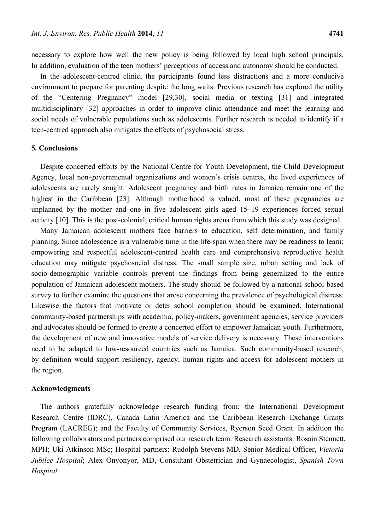necessary to explore how well the new policy is being followed by local high school principals. In addition, evaluation of the teen mothers' perceptions of access and autonomy should be conducted.

In the adolescent-centred clinic, the participants found less distractions and a more conducive environment to prepare for parenting despite the long waits. Previous research has explored the utility of the "Centering Pregnancy" model [29,30], social media or texting [31] and integrated multidisciplinary [32] approaches in order to improve clinic attendance and meet the learning and social needs of vulnerable populations such as adolescents. Further research is needed to identify if a teen-centred approach also mitigates the effects of psychosocial stress.

# **5. Conclusions**

Despite concerted efforts by the National Centre for Youth Development, the Child Development Agency, local non-governmental organizations and women's crisis centres, the lived experiences of adolescents are rarely sought. Adolescent pregnancy and birth rates in Jamaica remain one of the highest in the Caribbean [23]. Although motherhood is valued, most of these pregnancies are unplanned by the mother and one in five adolescent girls aged 15–19 experiences forced sexual activity [10]. This is the post-colonial, critical human rights arena from which this study was designed.

Many Jamaican adolescent mothers face barriers to education, self determination, and family planning. Since adolescence is a vulnerable time in the life-span when there may be readiness to learn; empowering and respectful adolescent-centred health care and comprehensive reproductive health education may mitigate psychosocial distress. The small sample size, urban setting and lack of socio-demographic variable controls prevent the findings from being generalized to the entire population of Jamaican adolescent mothers. The study should be followed by a national school-based survey to further examine the questions that arose concerning the prevalence of psychological distress. Likewise the factors that motivate or deter school completion should be examined. International community-based partnerships with academia, policy-makers, government agencies, service providers and advocates should be formed to create a concerted effort to empower Jamaican youth. Furthermore, the development of new and innovative models of service delivery is necessary. These interventions need to be adapted to low-resourced countries such as Jamaica. Such community-based research, by definition would support resiliency, agency, human rights and access for adolescent mothers in the region.

#### **Acknowledgments**

The authors gratefully acknowledge research funding from: the International Development Research Centre (IDRC), Canada Latin America and the Caribbean Research Exchange Grants Program (LACREG); and the Faculty of Community Services, Ryerson Seed Grant. In addition the following collaborators and partners comprised our research team. Research assistants: Rosain Stennett, MPH; Uki Atkinson MSc; Hospital partners: Rudolph Stevens MD, Senior Medical Officer, *Victoria Jubilee Hospital*; Alex Onyonyor, MD, Consultant Obstetrician and Gynaecologist, *Spanish Town Hospital.*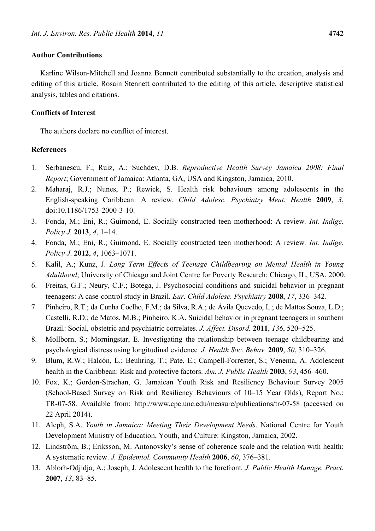## **Author Contributions**

Karline Wilson-Mitchell and Joanna Bennett contributed substantially to the creation, analysis and editing of this article. Rosain Stennett contributed to the editing of this article, descriptive statistical analysis, tables and citations.

#### **Conflicts of Interest**

The authors declare no conflict of interest.

# **References**

- 1. Serbanescu, F.; Ruiz, A.; Suchdev, D.B. *Reproductive Health Survey Jamaica 2008: Final Report*; Government of Jamaica: Atlanta, GA, USA and Kingston, Jamaica, 2010.
- 2. Maharaj, R.J.; Nunes, P.; Rewick, S. Health risk behaviours among adolescents in the English-speaking Caribbean: A review. *Child Adolesc. Psychiatry Ment. Health* **2009**, *3*, doi:10.1186/1753-2000-3-10.
- 3. Fonda, M.; Eni, R.; Guimond, E. Socially constructed teen motherhood: A review*. Int. Indige. Policy J.* **2013**, *4*, 1–14.
- 4. Fonda, M.; Eni, R.; Guimond, E. Socially constructed teen motherhood: A review*. Int. Indige. Policy J*. **2012**, *4*, 1063–1071.
- 5. Kalil, A.; Kunz, J. *Long Term Effects of Teenage Childbearing on Mental Health in Young Adulthood*; University of Chicago and Joint Centre for Poverty Research: Chicago, IL, USA, 2000.
- 6. Freitas, G.F.; Neury, C.F.; Botega, J. Psychosocial conditions and suicidal behavior in pregnant teenagers: A case-control study in Brazil. *Eur. Child Adolesc. Psychiatry* **2008**, *17*, 336–342.
- 7. Pinheiro, R.T.; da Cunha Coelho, F.M.; da Silva, R.A.; de Ávila Quevedo, L.; de Mattos Souza, L.D.; Castelli, R.D.; de Matos, M.B.; Pinheiro, K.A. Suicidal behavior in pregnant teenagers in southern Brazil: Social, obstetric and psychiatric correlates*. J. Affect. Disord.* **2011**, *136*, 520–525.
- 8. Mollborn, S.; Morningstar, E. Investigating the relationship between teenage childbearing and psychological distress using longitudinal evidence*. J. Health Soc. Behav.* **2009**, *50*, 310–326.
- 9. Blum, R.W.; Halcón, L.; Beuhring, T.; Pate, E.; Campell-Forrester, S.; Venema, A. Adolescent health in the Caribbean: Risk and protective factors. *Am. J. Public Health* **2003**, *93*, 456–460.
- 10. Fox, K.; Gordon-Strachan, G. Jamaican Youth Risk and Resiliency Behaviour Survey 2005 (School-Based Survey on Risk and Resiliency Behaviours of 10–15 Year Olds), Report No.: TR-07-58. Available from: http://www.cpc.unc.edu/measure/publications/tr-07-58 (accessed on 22 April 2014).
- 11. Aleph, S.A. *Youth in Jamaica: Meeting Their Development Needs*. National Centre for Youth Development Ministry of Education, Youth, and Culture: Kingston, Jamaica, 2002.
- 12. Lindström, B.; Eriksson, M. Antonovsky's sense of coherence scale and the relation with health: A systematic review. *J. Epidemiol. Community Health* **2006**, *60*, 376–381.
- 13. Ablorh-Odjidja, A.; Joseph, J. Adolescent health to the forefront*. J. Public Health Manage. Pract.* **2007**, *13*, 83–85.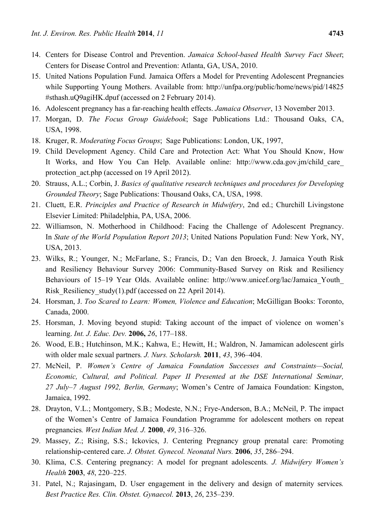- 14. Centers for Disease Control and Prevention. *Jamaica School-based Health Survey Fact Sheet*; Centers for Disease Control and Prevention: Atlanta, GA, USA, 2010.
- 15. United Nations Population Fund. Jamaica Offers a Model for Preventing Adolescent Pregnancies while Supporting Young Mothers. Available from: http://unfpa.org/public/home/news/pid/14825 #sthash.uQ9agiHK.dpuf (accessed on 2 February 2014).
- 16. Adolescent pregnancy has a far-reaching health effects. *Jamaica Observer*, 13 November 2013.
- 17. Morgan, D. *The Focus Group Guidebook*; Sage Publications Ltd.: Thousand Oaks, CA, USA, 1998.
- 18. Kruger, R. *Moderating Focus Groups*; Sage Publications: London, UK, 1997,
- 19. Child Development Agency. Child Care and Protection Act: What You Should Know, How It Works, and How You Can Help. Available online: http://www.cda.gov.jm/child\_care\_ protection act.php (accessed on 19 April 2012).
- 20. Strauss, A.L.; Corbin, J. *Basics of qualitative research techniques and procedures for Developing Grounded Theory*; Sage Publications: Thousand Oaks, CA, USA, 1998.
- 21. Cluett, E.R. *Principles and Practice of Research in Midwifery*, 2nd ed.; Churchill Livingstone Elsevier Limited: Philadelphia, PA, USA, 2006.
- 22. Williamson, N. Motherhood in Childhood: Facing the Challenge of Adolescent Pregnancy. In *State of the World Population Report 2013*; United Nations Population Fund: New York, NY, USA, 2013.
- 23. Wilks, R.; Younger, N.; McFarlane, S.; Francis, D.; Van den Broeck, J. Jamaica Youth Risk and Resiliency Behaviour Survey 2006: Community-Based Survey on Risk and Resiliency Behaviours of 15–19 Year Olds. Available online: http://www.unicef.org/lac/Jamaica Youth Risk Resiliency study(1).pdf (accessed on 22 April 2014).
- 24. Horsman, J. *Too Scared to Learn: Women, Violence and Education*; McGilligan Books: Toronto, Canada, 2000.
- 25. Horsman, J. Moving beyond stupid: Taking account of the impact of violence on women's learning. *Int. J. Educ. Dev.* **2006,** *26*, 177–188.
- 26. Wood, E.B.; Hutchinson, M.K.; Kahwa, E.; Hewitt, H.; Waldron, N. Jamamican adolescent girls with older male sexual partners*. J. Nurs. Scholarsh.* **2011**, *43*, 396–404.
- 27. McNeil, P. *Women's Centre of Jamaica Foundation Successes and Constraints—Social, Economic, Cultural, and Political. Paper II Presented at the DSE International Seminar, 27 July–7 August 1992, Berlin, Germany*; Women's Centre of Jamaica Foundation: Kingston, Jamaica, 1992.
- 28. Drayton, V.L.; Montgomery, S.B.; Modeste, N.N.; Frye-Anderson, B.A.; McNeil, P. The impact of the Women's Centre of Jamaica Foundation Programme for adolescent mothers on repeat pregnancies*. West Indian Med. J.* **2000**, *49*, 316–326.
- 29. Massey, Z.; Rising, S.S.; Ickovics, J. Centering Pregnancy group prenatal care: Promoting relationship-centered care. *J. Obstet. Gynecol. Neonatal Nurs.* **2006**, *35*, 286–294.
- 30. Klima, C.S. Centering pregnancy: A model for pregnant adolescents*. J. Midwifery Women's Health* **2003**, *48*, 220–225.
- 31. Patel, N.; Rajasingam, D. User engagement in the delivery and design of maternity services*. Best Practice Res. Clin. Obstet. Gynaecol.* **2013**, *26*, 235–239.